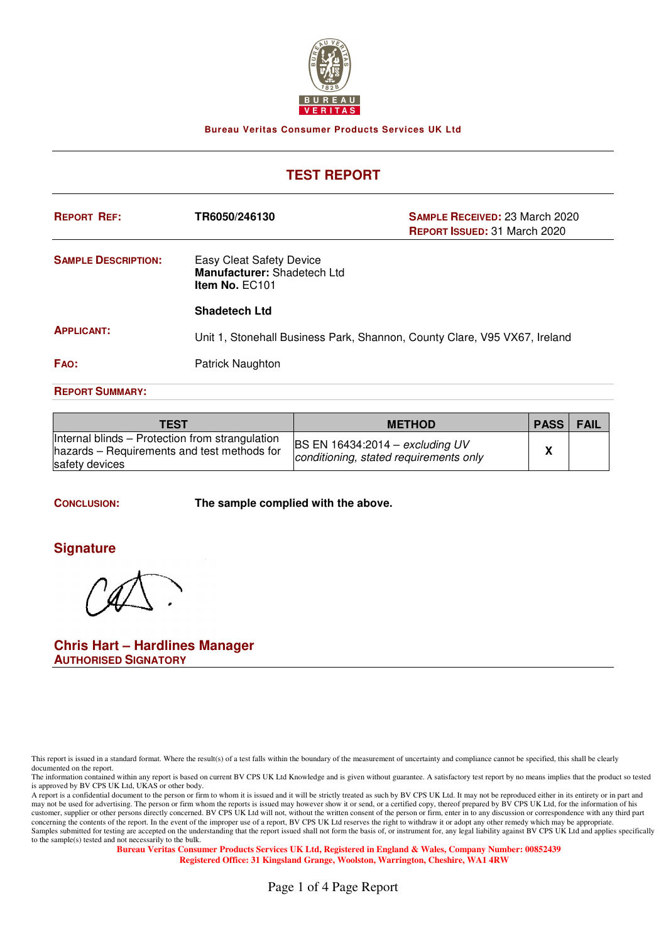

**Bureau Veritas Consumer Products Services UK Ltd**

# **TEST REPORT**

| <b>REPORT REF:</b>         | TR6050/246130                                                             | <b>SAMPLE RECEIVED: 23 March 2020</b><br><b>REPORT ISSUED: 31 March 2020</b> |
|----------------------------|---------------------------------------------------------------------------|------------------------------------------------------------------------------|
| <b>SAMPLE DESCRIPTION:</b> | Easy Cleat Safety Device<br>Manufacturer: Shadetech Ltd<br>Item No. EC101 |                                                                              |
|                            | <b>Shadetech Ltd</b>                                                      |                                                                              |
| <b>APPLICANT:</b>          | Unit 1, Stonehall Business Park, Shannon, County Clare, V95 VX67, Ireland |                                                                              |
| FAO:                       | Patrick Naughton                                                          |                                                                              |
| <b>REPORT SUMMARY:</b>     |                                                                           |                                                                              |

| TEST                                                                                                             | <b>METHOD</b>                                                             | <b>PASS</b> | FAIL |
|------------------------------------------------------------------------------------------------------------------|---------------------------------------------------------------------------|-------------|------|
| Internal blinds – Protection from strangulation<br>hazards - Requirements and test methods for<br>safety devices | BS EN 16434:2014 – excluding UV<br>conditioning, stated requirements only | n           |      |

**CONCLUSION: The sample complied with the above.**

### **Signature**

**Chris Hart – Hardlines Manager AUTHORISED SIGNATORY**

This report is issued in a standard format. Where the result(s) of a test falls within the boundary of the measurement of uncertainty and compliance cannot be specified, this shall be clearly documented on the report.

The information contained within any report is based on current BV CPS UK Ltd Knowledge and is given without guarantee. A satisfactory test report by no means implies that the product so tested is approved by BV CPS UK Ltd, UKAS or other body.

A report is a confidential document to the person or firm to whom it is issued and it will be strictly treated as such by BV CPS UK Ltd. It may not be reproduced either in its entirety or in part and it will be strictly tr may not be used for advertising. The person or firm whom the reports is issued may however show it or send, or a certified copy, thereof prepared by BV CPS UK Ltd, for the information of his customer, supplier or other persons directly concerned. BV CPS UK Ltd will not, without the written consent of the person or firm, enter in to any discussion or correspondence with any third part concerning the contents of the report. In the event of the improper use of a report, BV CPS UK Ltd reserves the right to withdraw it or adopt any other remedy which may be appropriate. Samples submitted for testing are accepted on the understanding that the report issued shall not form the basis of, or instrument for, any legal liability against BV CPS UK Ltd and applies specifically to the sample(s) tested and not necessarily to the bulk.

**Bureau Veritas Consumer Products Services UK Ltd, Registered in England & Wales, Company Number: 00852439 Registered Office: 31 Kingsland Grange, Woolston, Warrington, Cheshire, WA1 4RW**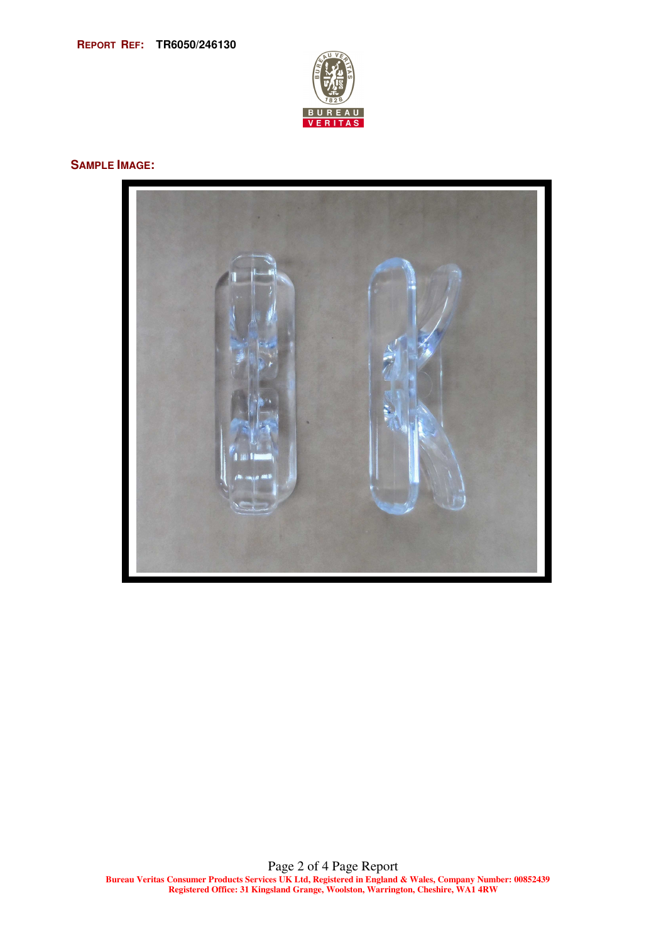

#### **SAMPLE IMAGE:**

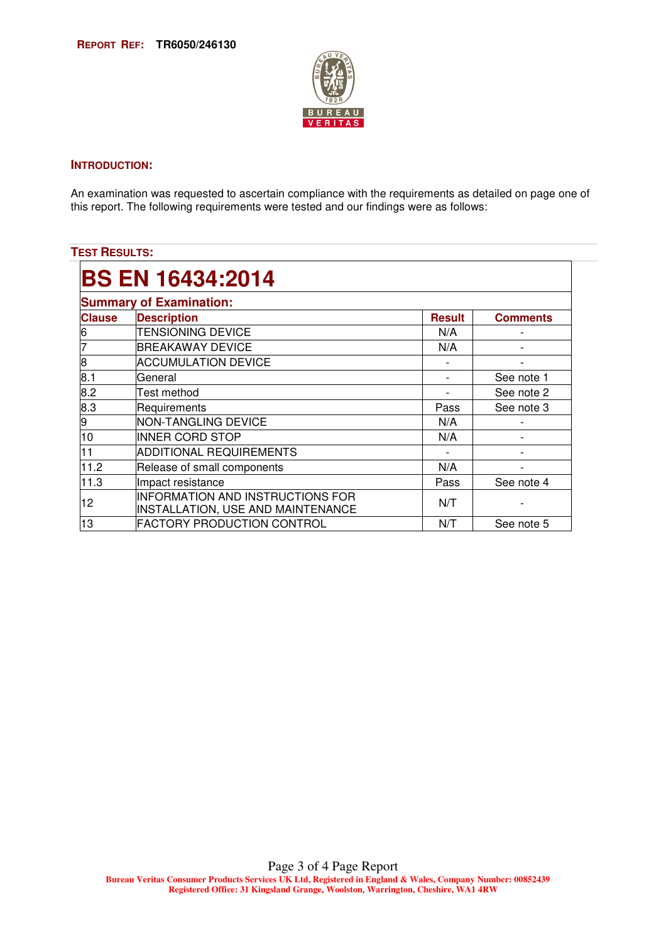

#### **INTRODUCTION:**

An examination was requested to ascertain compliance with the requirements as detailed on page one of this report. The following requirements were tested and our findings were as follows:

## **TEST RESULTS:**

| <b>Summary of Examination:</b> |                                                                       |               |                          |  |  |
|--------------------------------|-----------------------------------------------------------------------|---------------|--------------------------|--|--|
| <b>Clause</b>                  | <b>Description</b>                                                    | <b>Result</b> | <b>Comments</b>          |  |  |
| 6                              | <b>TENSIONING DEVICE</b>                                              | N/A           |                          |  |  |
| 7                              | <b>BREAKAWAY DEVICE</b>                                               | N/A           |                          |  |  |
| 8                              | <b>ACCUMULATION DEVICE</b>                                            |               | $\overline{\phantom{a}}$ |  |  |
| 8.1                            | General                                                               |               | See note 1               |  |  |
| 8.2                            | Test method                                                           |               | See note 2               |  |  |
| 8.3                            | Requirements                                                          | Pass          | See note 3               |  |  |
| 9                              | <b>NON-TANGLING DEVICE</b>                                            | N/A           |                          |  |  |
| 10                             | INNER CORD STOP                                                       | N/A           |                          |  |  |
| 11                             | ADDITIONAL REQUIREMENTS                                               |               |                          |  |  |
| 11.2                           | Release of small components                                           | N/A           |                          |  |  |
| 11.3                           | Impact resistance                                                     | Pass          | See note 4               |  |  |
| 12                             | INFORMATION AND INSTRUCTIONS FOR<br>INSTALLATION, USE AND MAINTENANCE | N/T           |                          |  |  |
| 13                             | <b>FACTORY PRODUCTION CONTROL</b>                                     | N/T           | See note 5               |  |  |